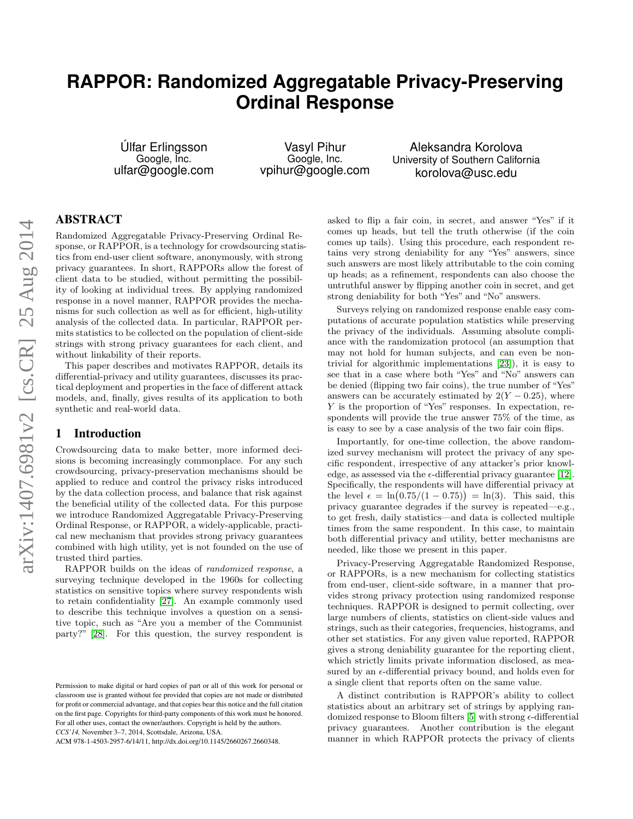# **RAPPOR: Randomized Aggregatable Privacy-Preserving Ordinal Response**

Úlfar Erlingsson Google, Inc. ulfar@google.com

Vasyl Pihur Google, Inc. vpihur@google.com

Aleksandra Korolova University of Southern California korolova@usc.edu

## ABSTRACT

Randomized Aggregatable Privacy-Preserving Ordinal Response, or RAPPOR, is a technology for crowdsourcing statistics from end-user client software, anonymously, with strong privacy guarantees. In short, RAPPORs allow the forest of client data to be studied, without permitting the possibility of looking at individual trees. By applying randomized response in a novel manner, RAPPOR provides the mechanisms for such collection as well as for efficient, high-utility analysis of the collected data. In particular, RAPPOR permits statistics to be collected on the population of client-side strings with strong privacy guarantees for each client, and without linkability of their reports.

This paper describes and motivates RAPPOR, details its differential-privacy and utility guarantees, discusses its practical deployment and properties in the face of different attack models, and, finally, gives results of its application to both synthetic and real-world data.

## 1 Introduction

Crowdsourcing data to make better, more informed decisions is becoming increasingly commonplace. For any such crowdsourcing, privacy-preservation mechanisms should be applied to reduce and control the privacy risks introduced by the data collection process, and balance that risk against the beneficial utility of the collected data. For this purpose we introduce Randomized Aggregatable Privacy-Preserving Ordinal Response, or RAPPOR, a widely-applicable, practical new mechanism that provides strong privacy guarantees combined with high utility, yet is not founded on the use of trusted third parties.

RAPPOR builds on the ideas of randomized response, a surveying technique developed in the 1960s for collecting statistics on sensitive topics where survey respondents wish to retain confidentiality [\[27\]](#page-13-0). An example commonly used to describe this technique involves a question on a sensitive topic, such as "Are you a member of the Communist party?" [\[28\]](#page-13-1). For this question, the survey respondent is

*CCS'14,* November 3–7, 2014, Scottsdale, Arizona, USA.

ACM 978-1-4503-2957-6/14/11, http://dx.doi.org/10.1145/2660267.2660348.

asked to flip a fair coin, in secret, and answer "Yes" if it comes up heads, but tell the truth otherwise (if the coin comes up tails). Using this procedure, each respondent retains very strong deniability for any "Yes" answers, since such answers are most likely attributable to the coin coming up heads; as a refinement, respondents can also choose the untruthful answer by flipping another coin in secret, and get strong deniability for both "Yes" and "No" answers.

Surveys relying on randomized response enable easy computations of accurate population statistics while preserving the privacy of the individuals. Assuming absolute compliance with the randomization protocol (an assumption that may not hold for human subjects, and can even be nontrivial for algorithmic implementations [\[23\]](#page-13-2)), it is easy to see that in a case where both "Yes" and "No" answers can be denied (flipping two fair coins), the true number of "Yes" answers can be accurately estimated by  $2(Y - 0.25)$ , where Y is the proportion of "Yes" responses. In expectation, respondents will provide the true answer 75% of the time, as is easy to see by a case analysis of the two fair coin flips.

Importantly, for one-time collection, the above randomized survey mechanism will protect the privacy of any specific respondent, irrespective of any attacker's prior knowledge, as assessed via the  $\epsilon$ -differential privacy guarantee [\[12\]](#page-12-0). Specifically, the respondents will have differential privacy at the level  $\epsilon = \ln(0.75/(1-0.75)) = \ln(3)$ . This said, this privacy guarantee degrades if the survey is repeated—e.g., to get fresh, daily statistics—and data is collected multiple times from the same respondent. In this case, to maintain both differential privacy and utility, better mechanisms are needed, like those we present in this paper.

Privacy-Preserving Aggregatable Randomized Response, or RAPPORs, is a new mechanism for collecting statistics from end-user, client-side software, in a manner that provides strong privacy protection using randomized response techniques. RAPPOR is designed to permit collecting, over large numbers of clients, statistics on client-side values and strings, such as their categories, frequencies, histograms, and other set statistics. For any given value reported, RAPPOR gives a strong deniability guarantee for the reporting client, which strictly limits private information disclosed, as measured by an  $\epsilon$ -differential privacy bound, and holds even for a single client that reports often on the same value.

A distinct contribution is RAPPOR's ability to collect statistics about an arbitrary set of strings by applying ran-domized response to Bloom filters [\[5\]](#page-12-1) with strong  $\epsilon$ -differential privacy guarantees. Another contribution is the elegant manner in which RAPPOR protects the privacy of clients

Permission to make digital or hard copies of part or all of this work for personal or classroom use is granted without fee provided that copies are not made or distributed for profit or commercial advantage, and that copies bear this notice and the full citation on the first page. Copyrights for third-party components of this work must be honored. For all other uses, contact the owner/authors. Copyright is held by the authors.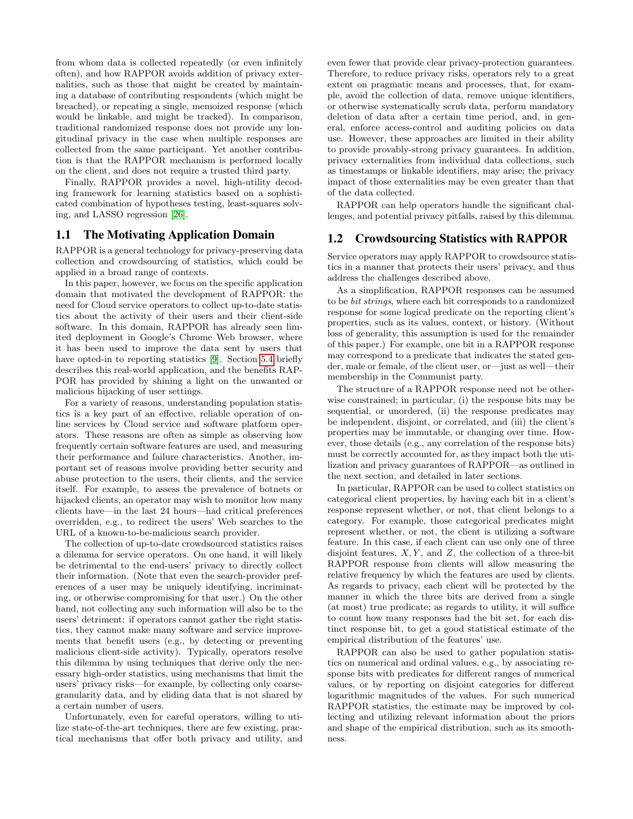from whom data is collected repeatedly (or even infinitely often), and how RAPPOR avoids addition of privacy externalities, such as those that might be created by maintaining a database of contributing respondents (which might be breached), or repeating a single, memoized response (which would be linkable, and might be tracked). In comparison, traditional randomized response does not provide any longitudinal privacy in the case when multiple responses are collected from the same participant. Yet another contribution is that the RAPPOR mechanism is performed locally on the client, and does not require a trusted third party.

Finally, RAPPOR provides a novel, high-utility decoding framework for learning statistics based on a sophisticated combination of hypotheses testing, least-squares solving, and LASSO regression [\[26\]](#page-13-3).

## <span id="page-1-0"></span>1.1 The Motivating Application Domain

RAPPOR is a general technology for privacy-preserving data collection and crowdsourcing of statistics, which could be applied in a broad range of contexts.

In this paper, however, we focus on the specific application domain that motivated the development of RAPPOR: the need for Cloud service operators to collect up-to-date statistics about the activity of their users and their client-side software. In this domain, RAPPOR has already seen limited deployment in Google's Chrome Web browser, where it has been used to improve the data sent by users that have opted-in to reporting statistics [\[9\]](#page-12-2). Section [5.4](#page-9-0) briefly describes this real-world application, and the benefits RAP-POR has provided by shining a light on the unwanted or malicious hijacking of user settings.

For a variety of reasons, understanding population statistics is a key part of an effective, reliable operation of online services by Cloud service and software platform operators. These reasons are often as simple as observing how frequently certain software features are used, and measuring their performance and failure characteristics. Another, important set of reasons involve providing better security and abuse protection to the users, their clients, and the service itself. For example, to assess the prevalence of botnets or hijacked clients, an operator may wish to monitor how many clients have—in the last 24 hours—had critical preferences overridden, e.g., to redirect the users' Web searches to the URL of a known-to-be-malicious search provider.

The collection of up-to-date crowdsourced statistics raises a dilemma for service operators. On one hand, it will likely be detrimental to the end-users' privacy to directly collect their information. (Note that even the search-provider preferences of a user may be uniquely identifying, incriminating, or otherwise compromising for that user.) On the other hand, not collecting any such information will also be to the users' detriment: if operators cannot gather the right statistics, they cannot make many software and service improvements that benefit users (e.g., by detecting or preventing malicious client-side activity). Typically, operators resolve this dilemma by using techniques that derive only the necessary high-order statistics, using mechanisms that limit the users' privacy risks—for example, by collecting only coarsegranularity data, and by eliding data that is not shared by a certain number of users.

Unfortunately, even for careful operators, willing to utilize state-of-the-art techniques, there are few existing, practical mechanisms that offer both privacy and utility, and even fewer that provide clear privacy-protection guarantees. Therefore, to reduce privacy risks, operators rely to a great extent on pragmatic means and processes, that, for example, avoid the collection of data, remove unique identifiers, or otherwise systematically scrub data, perform mandatory deletion of data after a certain time period, and, in general, enforce access-control and auditing policies on data use. However, these approaches are limited in their ability to provide provably-strong privacy guarantees. In addition, privacy externalities from individual data collections, such as timestamps or linkable identifiers, may arise; the privacy impact of those externalities may be even greater than that of the data collected.

RAPPOR can help operators handle the significant challenges, and potential privacy pitfalls, raised by this dilemma.

#### 1.2 Crowdsourcing Statistics with RAPPOR

Service operators may apply RAPPOR to crowdsource statistics in a manner that protects their users' privacy, and thus address the challenges described above.

As a simplification, RAPPOR responses can be assumed to be bit strings, where each bit corresponds to a randomized response for some logical predicate on the reporting client's properties, such as its values, context, or history. (Without loss of generality, this assumption is used for the remainder of this paper.) For example, one bit in a RAPPOR response may correspond to a predicate that indicates the stated gender, male or female, of the client user, or—just as well—their membership in the Communist party.

The structure of a RAPPOR response need not be otherwise constrained; in particular, (i) the response bits may be sequential, or unordered, (ii) the response predicates may be independent, disjoint, or correlated, and (iii) the client's properties may be immutable, or changing over time. However, those details (e.g., any correlation of the response bits) must be correctly accounted for, as they impact both the utilization and privacy guarantees of RAPPOR—as outlined in the next section, and detailed in later sections.

In particular, RAPPOR can be used to collect statistics on categorical client properties, by having each bit in a client's response represent whether, or not, that client belongs to a category. For example, those categorical predicates might represent whether, or not, the client is utilizing a software feature. In this case, if each client can use only one of three disjoint features,  $X, Y$ , and  $Z$ , the collection of a three-bit RAPPOR response from clients will allow measuring the relative frequency by which the features are used by clients. As regards to privacy, each client will be protected by the manner in which the three bits are derived from a single (at most) true predicate; as regards to utility, it will suffice to count how many responses had the bit set, for each distinct response bit, to get a good statistical estimate of the empirical distribution of the features' use.

RAPPOR can also be used to gather population statistics on numerical and ordinal values, e.g., by associating response bits with predicates for different ranges of numerical values, or by reporting on disjoint categories for different logarithmic magnitudes of the values. For such numerical RAPPOR statistics, the estimate may be improved by collecting and utilizing relevant information about the priors and shape of the empirical distribution, such as its smoothness.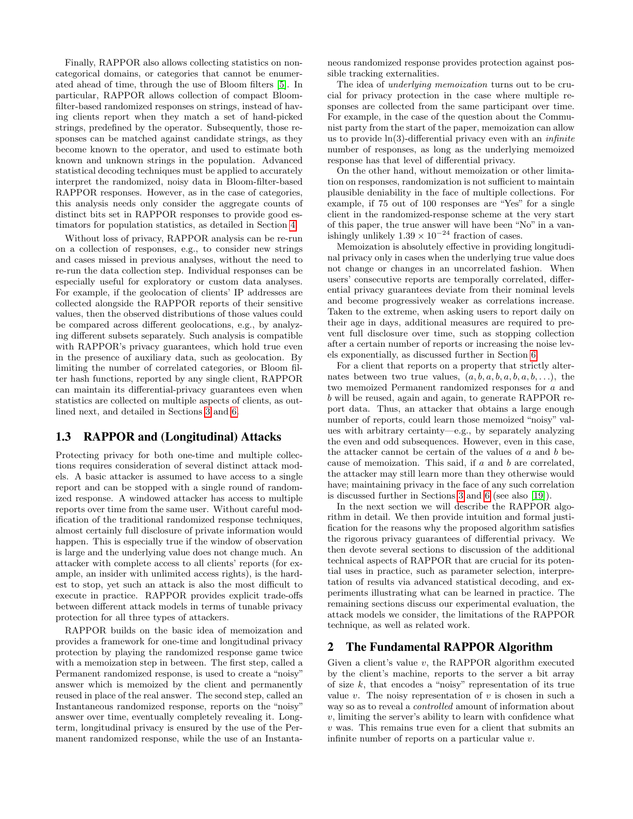Finally, RAPPOR also allows collecting statistics on noncategorical domains, or categories that cannot be enumerated ahead of time, through the use of Bloom filters [\[5\]](#page-12-1). In particular, RAPPOR allows collection of compact Bloomfilter-based randomized responses on strings, instead of having clients report when they match a set of hand-picked strings, predefined by the operator. Subsequently, those responses can be matched against candidate strings, as they become known to the operator, and used to estimate both known and unknown strings in the population. Advanced statistical decoding techniques must be applied to accurately interpret the randomized, noisy data in Bloom-filter-based RAPPOR responses. However, as in the case of categories, this analysis needs only consider the aggregate counts of distinct bits set in RAPPOR responses to provide good estimators for population statistics, as detailed in Section [4.](#page-5-0)

Without loss of privacy, RAPPOR analysis can be re-run on a collection of responses, e.g., to consider new strings and cases missed in previous analyses, without the need to re-run the data collection step. Individual responses can be especially useful for exploratory or custom data analyses. For example, if the geolocation of clients' IP addresses are collected alongside the RAPPOR reports of their sensitive values, then the observed distributions of those values could be compared across different geolocations, e.g., by analyzing different subsets separately. Such analysis is compatible with RAPPOR's privacy guarantees, which hold true even in the presence of auxiliary data, such as geolocation. By limiting the number of correlated categories, or Bloom filter hash functions, reported by any single client, RAPPOR can maintain its differential-privacy guarantees even when statistics are collected on multiple aspects of clients, as outlined next, and detailed in Sections [3](#page-4-0) and [6.](#page-9-1)

## 1.3 RAPPOR and (Longitudinal) Attacks

Protecting privacy for both one-time and multiple collections requires consideration of several distinct attack models. A basic attacker is assumed to have access to a single report and can be stopped with a single round of randomized response. A windowed attacker has access to multiple reports over time from the same user. Without careful modification of the traditional randomized response techniques, almost certainly full disclosure of private information would happen. This is especially true if the window of observation is large and the underlying value does not change much. An attacker with complete access to all clients' reports (for example, an insider with unlimited access rights), is the hardest to stop, yet such an attack is also the most difficult to execute in practice. RAPPOR provides explicit trade-offs between different attack models in terms of tunable privacy protection for all three types of attackers.

RAPPOR builds on the basic idea of memoization and provides a framework for one-time and longitudinal privacy protection by playing the randomized response game twice with a memoization step in between. The first step, called a Permanent randomized response, is used to create a "noisy" answer which is memoized by the client and permanently reused in place of the real answer. The second step, called an Instantaneous randomized response, reports on the "noisy" answer over time, eventually completely revealing it. Longterm, longitudinal privacy is ensured by the use of the Permanent randomized response, while the use of an Instantaneous randomized response provides protection against possible tracking externalities.

The idea of *underlying memoization* turns out to be crucial for privacy protection in the case where multiple responses are collected from the same participant over time. For example, in the case of the question about the Communist party from the start of the paper, memoization can allow us to provide  $ln(3)$ -differential privacy even with an *infinite* number of responses, as long as the underlying memoized response has that level of differential privacy.

On the other hand, without memoization or other limitation on responses, randomization is not sufficient to maintain plausible deniability in the face of multiple collections. For example, if 75 out of 100 responses are "Yes" for a single client in the randomized-response scheme at the very start of this paper, the true answer will have been "No" in a vanishingly unlikely  $1.39 \times 10^{-24}$  fraction of cases.

Memoization is absolutely effective in providing longitudinal privacy only in cases when the underlying true value does not change or changes in an uncorrelated fashion. When users' consecutive reports are temporally correlated, differential privacy guarantees deviate from their nominal levels and become progressively weaker as correlations increase. Taken to the extreme, when asking users to report daily on their age in days, additional measures are required to prevent full disclosure over time, such as stopping collection after a certain number of reports or increasing the noise levels exponentially, as discussed further in Section [6.](#page-9-1)

For a client that reports on a property that strictly alternates between two true values,  $(a, b, a, b, a, b, a, b, \ldots)$ , the two memoized Permanent randomized responses for a and b will be reused, again and again, to generate RAPPOR report data. Thus, an attacker that obtains a large enough number of reports, could learn those memoized "noisy" values with arbitrary certainty—e.g., by separately analyzing the even and odd subsequences. However, even in this case, the attacker cannot be certain of the values of  $a$  and  $b$  because of memoization. This said, if  $a$  and  $b$  are correlated, the attacker may still learn more than they otherwise would have; maintaining privacy in the face of any such correlation is discussed further in Sections [3](#page-4-0) and [6](#page-9-1) (see also [\[19\]](#page-12-3)).

In the next section we will describe the RAPPOR algorithm in detail. We then provide intuition and formal justification for the reasons why the proposed algorithm satisfies the rigorous privacy guarantees of differential privacy. We then devote several sections to discussion of the additional technical aspects of RAPPOR that are crucial for its potential uses in practice, such as parameter selection, interpretation of results via advanced statistical decoding, and experiments illustrating what can be learned in practice. The remaining sections discuss our experimental evaluation, the attack models we consider, the limitations of the RAPPOR technique, as well as related work.

## 2 The Fundamental RAPPOR Algorithm

Given a client's value  $v$ , the RAPPOR algorithm executed by the client's machine, reports to the server a bit array of size  $k$ , that encodes a "noisy" representation of its true value  $v$ . The noisy representation of  $v$  is chosen in such a way so as to reveal a *controlled* amount of information about v, limiting the server's ability to learn with confidence what v was. This remains true even for a client that submits an infinite number of reports on a particular value v.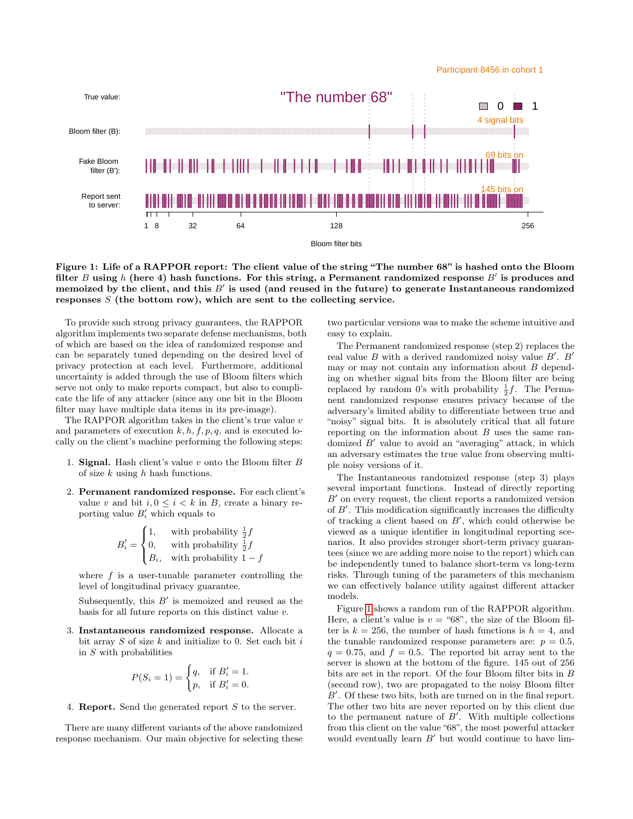Participant 8456 in cohort 1



<span id="page-3-0"></span>Figure 1: Life of a RAPPOR report: The client value of the string "The number 68" is hashed onto the Bloom filter B using h (here 4) hash functions. For this string, a Permanent randomized response  $B'$  is produces and memoized by the client, and this  $B'$  is used (and reused in the future) to generate Instantaneous randomized responses S (the bottom row), which are sent to the collecting service.

To provide such strong privacy guarantees, the RAPPOR algorithm implements two separate defense mechanisms, both of which are based on the idea of randomized response and can be separately tuned depending on the desired level of privacy protection at each level. Furthermore, additional uncertainty is added through the use of Bloom filters which serve not only to make reports compact, but also to complicate the life of any attacker (since any one bit in the Bloom filter may have multiple data items in its pre-image).

The RAPPOR algorithm takes in the client's true value v and parameters of execution  $k, h, f, p, q$ , and is executed locally on the client's machine performing the following steps:

- 1. **Signal.** Hash client's value  $v$  onto the Bloom filter  $B$ of size  $k$  using  $h$  hash functions.
- 2. Permanent randomized response. For each client's value v and bit  $i, 0 \leq i \leq k$  in B, create a binary reporting value  $B_i'$  which equals to

$$
B'_{i} = \begin{cases} 1, & \text{with probability } \frac{1}{2}f \\ 0, & \text{with probability } \frac{1}{2}f \\ B_{i}, & \text{with probability } 1 - f \end{cases}
$$

where  $f$  is a user-tunable parameter controlling the level of longitudinal privacy guarantee.

Subsequently, this  $B'$  is memoized and reused as the basis for all future reports on this distinct value v.

3. Instantaneous randomized response. Allocate a bit array  $S$  of size  $k$  and initialize to 0. Set each bit  $i$ in  $S$  with probabilities

$$
P(S_i = 1) = \begin{cases} q, & \text{if } B'_i = 1. \\ p, & \text{if } B'_i = 0. \end{cases}
$$

4. Report. Send the generated report S to the server.

There are many different variants of the above randomized response mechanism. Our main objective for selecting these two particular versions was to make the scheme intuitive and easy to explain.

The Permanent randomized response (step 2) replaces the real value  $B$  with a derived randomized noisy value  $B'$ .  $B'$ may or may not contain any information about  $B$  depending on whether signal bits from the Bloom filter are being replaced by random 0's with probability  $\frac{1}{2}f$ . The Permanent randomized response ensures privacy because of the adversary's limited ability to differentiate between true and "noisy" signal bits. It is absolutely critical that all future reporting on the information about  $B$  uses the same randomized  $B'$  value to avoid an "averaging" attack, in which an adversary estimates the true value from observing multiple noisy versions of it.

The Instantaneous randomized response (step 3) plays several important functions. Instead of directly reporting  $B'$  on every request, the client reports a randomized version of  $B'$ . This modification significantly increases the difficulty of tracking a client based on  $B'$ , which could otherwise be viewed as a unique identifier in longitudinal reporting scenarios. It also provides stronger short-term privacy guarantees (since we are adding more noise to the report) which can be independently tuned to balance short-term vs long-term risks. Through tuning of the parameters of this mechanism we can effectively balance utility against different attacker models.

Figure [1](#page-3-0) shows a random run of the RAPPOR algorithm. Here, a client's value is  $v = 68$ ", the size of the Bloom filter is  $k = 256$ , the number of hash functions is  $h = 4$ , and the tunable randomized response parameters are:  $p = 0.5$ ,  $q = 0.75$ , and  $f = 0.5$ . The reported bit array sent to the server is shown at the bottom of the figure. 145 out of 256 bits are set in the report. Of the four Bloom filter bits in B (second row), two are propagated to the noisy Bloom filter  $B'$ . Of these two bits, both are turned on in the final report. The other two bits are never reported on by this client due to the permanent nature of  $B'$ . With multiple collections from this client on the value "68", the most powerful attacker would eventually learn  $B'$  but would continue to have lim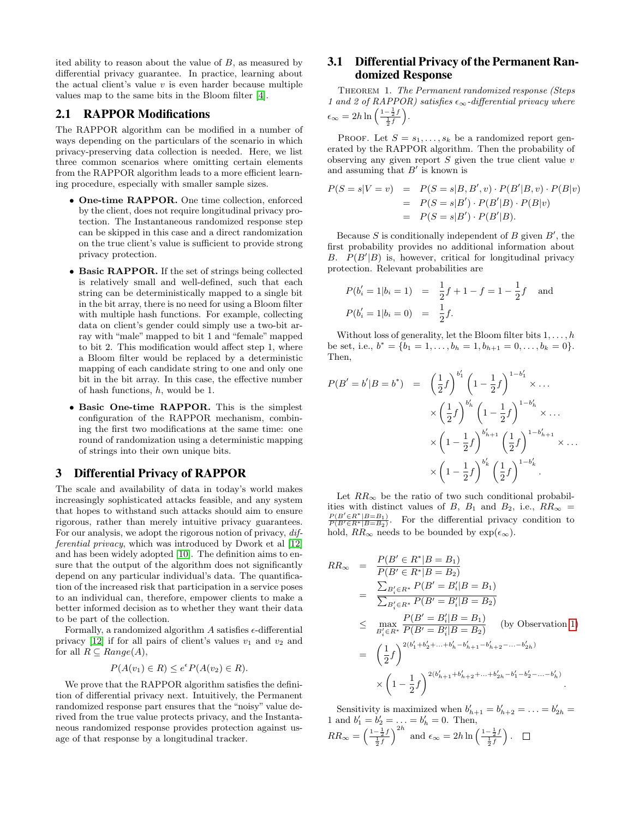ited ability to reason about the value of  $B$ , as measured by differential privacy guarantee. In practice, learning about the actual client's value  $v$  is even harder because multiple values map to the same bits in the Bloom filter [\[4\]](#page-12-4).

## 2.1 RAPPOR Modifications

The RAPPOR algorithm can be modified in a number of ways depending on the particulars of the scenario in which privacy-preserving data collection is needed. Here, we list three common scenarios where omitting certain elements from the RAPPOR algorithm leads to a more efficient learning procedure, especially with smaller sample sizes.

- One-time RAPPOR. One time collection, enforced by the client, does not require longitudinal privacy protection. The Instantaneous randomized response step can be skipped in this case and a direct randomization on the true client's value is sufficient to provide strong privacy protection.
- Basic RAPPOR. If the set of strings being collected is relatively small and well-defined, such that each string can be deterministically mapped to a single bit in the bit array, there is no need for using a Bloom filter with multiple hash functions. For example, collecting data on client's gender could simply use a two-bit array with "male" mapped to bit 1 and "female" mapped to bit 2. This modification would affect step 1, where a Bloom filter would be replaced by a deterministic mapping of each candidate string to one and only one bit in the bit array. In this case, the effective number of hash functions, h, would be 1.
- Basic One-time RAPPOR. This is the simplest configuration of the RAPPOR mechanism, combining the first two modifications at the same time: one round of randomization using a deterministic mapping of strings into their own unique bits.

#### <span id="page-4-0"></span>3 Differential Privacy of RAPPOR

The scale and availability of data in today's world makes increasingly sophisticated attacks feasible, and any system that hopes to withstand such attacks should aim to ensure rigorous, rather than merely intuitive privacy guarantees. For our analysis, we adopt the rigorous notion of privacy, differential privacy, which was introduced by Dwork et al [\[12\]](#page-12-0) and has been widely adopted [\[10\]](#page-12-5). The definition aims to ensure that the output of the algorithm does not significantly depend on any particular individual's data. The quantification of the increased risk that participation in a service poses to an individual can, therefore, empower clients to make a better informed decision as to whether they want their data to be part of the collection.

Formally, a randomized algorithm  $A$  satisfies  $\epsilon$ -differential privacy [\[12\]](#page-12-0) if for all pairs of client's values  $v_1$  and  $v_2$  and for all  $R \subseteq Range(A)$ ,

$$
P(A(v_1) \in R) \le e^{\epsilon} P(A(v_2) \in R).
$$

We prove that the RAPPOR algorithm satisfies the definition of differential privacy next. Intuitively, the Permanent randomized response part ensures that the "noisy" value derived from the true value protects privacy, and the Instantaneous randomized response provides protection against usage of that response by a longitudinal tracker.

## 3.1 Differential Privacy of the Permanent Randomized Response

<span id="page-4-1"></span>THEOREM 1. The Permanent randomized response (Steps 1 and 2 of RAPPOR) satisfies  $\epsilon_{\infty}$  -differential privacy where  $\epsilon_{\infty} = 2h \ln \left( \frac{1 - \frac{1}{2}f}{\frac{1}{2}f} \right)$ .

PROOF. Let  $S = s_1, \ldots, s_k$  be a randomized report generated by the RAPPOR algorithm. Then the probability of observing any given report  $S$  given the true client value  $v$ and assuming that  $B'$  is known is

$$
P(S = s|V = v) = P(S = s|B, B', v) \cdot P(B'|B, v) \cdot P(B|v)
$$
  
=  $P(S = s|B') \cdot P(B'|B) \cdot P(B|v)$   
=  $P(S = s|B') \cdot P(B'|B).$ 

Because  $S$  is conditionally independent of  $B$  given  $B'$ , the first probability provides no additional information about B.  $P(B'|B)$  is, however, critical for longitudinal privacy protection. Relevant probabilities are

$$
P(b'_i = 1 | b_i = 1) = \frac{1}{2}f + 1 - f = 1 - \frac{1}{2}f \text{ and}
$$
  

$$
P(b'_i = 1 | b_i = 0) = \frac{1}{2}f.
$$

Without loss of generality, let the Bloom filter bits  $1, \ldots, h$ be set, i.e.,  $b^* = \{b_1 = 1, \ldots, b_h = 1, b_{h+1} = 0, \ldots, b_k = 0\}.$ Then,

$$
P(B' = b'|B = b^*) = \left(\frac{1}{2}f\right)^{b'_1} \left(1 - \frac{1}{2}f\right)^{1 - b'_1} \times \dots
$$
  
 
$$
\times \left(\frac{1}{2}f\right)^{b'_h} \left(1 - \frac{1}{2}f\right)^{1 - b'_h} \times \dots
$$
  
 
$$
\times \left(1 - \frac{1}{2}f\right)^{b'_{h+1}} \left(\frac{1}{2}f\right)^{1 - b'_{h+1}} \times \dots
$$
  
 
$$
\times \left(1 - \frac{1}{2}f\right)^{b'_k} \left(\frac{1}{2}f\right)^{1 - b'_k}.
$$

Let  $RR_{\infty}$  be the ratio of two such conditional probabilities with distinct values of B, B<sub>1</sub> and B<sub>2</sub>, i.e.,  $RR_{\infty}$  =  $\frac{P(B'\in R^*|B=B_1)}{P(B'\in R^*|B=B_2)}$ . For the differential privacy condition to hold,  $RR_{\infty}$  needs to be bounded by  $\exp(\epsilon_{\infty})$ .

$$
RR_{\infty} = \frac{P(B' \in R^* | B = B_1)}{P(B' \in R^* | B = B_2)}
$$
  
= 
$$
\frac{\sum_{B_i' \in R^*} P(B' = B_i' | B = B_1)}{\sum_{B_i' \in R^*} P(B' = B_i' | B = B_2)}
$$
  

$$
\leq \max_{B_i' \in R^*} \frac{P(B' = B_i' | B = B_1)}{P(B' = B_i' | B = B_2)} \quad \text{(by Observation 1)}
$$
  
= 
$$
\left(\frac{1}{2}f\right)^{2(b_1' + b_2' + \ldots + b_h' - b_{h+1}' - b_{h+2}' - \ldots - b_{2h}')} \times \left(1 - \frac{1}{2}f\right)^{2(b_{h+1}' + b_{h+2}' + \ldots + b_{2h}' - b_1' - b_2' - \ldots - b_h')}
$$

Sensitivity is maximized when  $b'_{h+1} = b'_{h+2} = \ldots = b'_{2h} =$ 1 and  $b'_1 = b'_2 = \ldots = b'_h = 0$ . Then,  $RR_{\infty} = \left(\frac{1-\frac{1}{2}f}{\frac{1}{2}f}\right)^{2h}$  and  $\epsilon_{\infty} = 2h \ln\left(\frac{1-\frac{1}{2}f}{\frac{1}{2}f}\right)$ .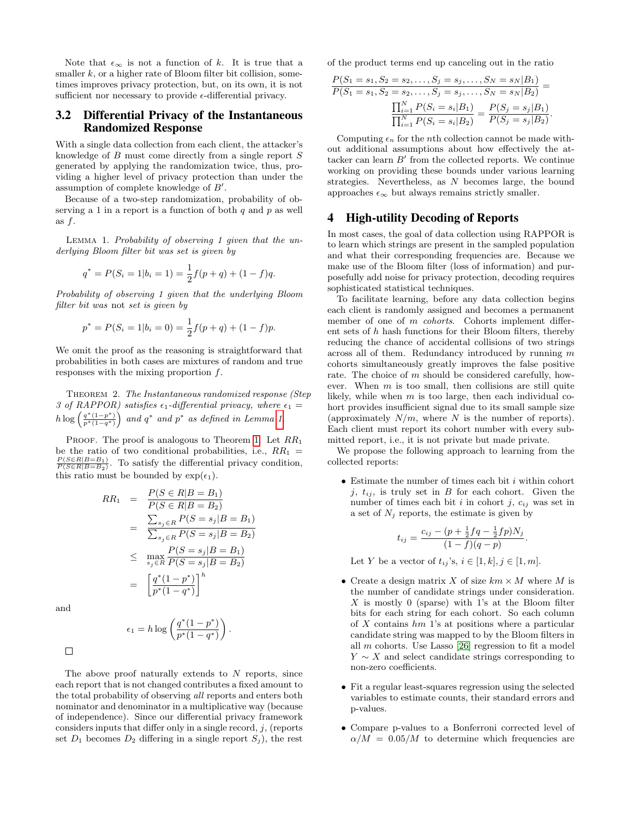Note that  $\epsilon_{\infty}$  is not a function of k. It is true that a smaller  $k$ , or a higher rate of Bloom filter bit collision, sometimes improves privacy protection, but, on its own, it is not sufficient nor necessary to provide  $\epsilon$ -differential privacy.

## 3.2 Differential Privacy of the Instantaneous Randomized Response

With a single data collection from each client, the attacker's knowledge of B must come directly from a single report S generated by applying the randomization twice, thus, providing a higher level of privacy protection than under the assumption of complete knowledge of  $B'$ .

<span id="page-5-1"></span>Because of a two-step randomization, probability of observing a 1 in a report is a function of both  $q$  and  $p$  as well as  $f$ .

Lemma 1. Probability of observing 1 given that the underlying Bloom filter bit was set is given by

$$
q^* = P(S_i = 1 | b_i = 1) = \frac{1}{2}f(p+q) + (1-f)q.
$$

Probability of observing 1 given that the underlying Bloom filter bit was not set is given by

$$
p^* = P(S_i = 1 | b_i = 0) = \frac{1}{2}f(p+q) + (1-f)p.
$$

We omit the proof as the reasoning is straightforward that probabilities in both cases are mixtures of random and true responses with the mixing proportion f.

THEOREM 2. The Instantaneous randomized response (Step 3 of RAPPOR) satisfies  $\epsilon_1$ -differential privacy, where  $\epsilon_1$  =  $h \log \left( \frac{q^*(1-p^*)}{p^*(1-q^*)} \right)$  and  $q^*$  and  $p^*$  as defined in Lemma [1.](#page-5-1)

PROOF. The proof is analogous to Theorem [1.](#page-4-1) Let  $RR_1$ be the ratio of two conditional probabilities, i.e.,  $RR_1 =$  $\frac{P(S \in R | B=B_1)}{P(S \in R | B=B_2)}$ . To satisfy the differential privacy condition, this ratio must be bounded by  $\exp(\epsilon_1)$ .

$$
RR_1 = \frac{P(S \in R | B = B_1)}{P(S \in R | B = B_2)}
$$
  
= 
$$
\frac{\sum_{s_j \in R} P(S = s_j | B = B_1)}{\sum_{s_j \in R} P(S = s_j | B = B_2)}
$$
  

$$
\leq \max_{s_j \in R} \frac{P(S = s_j | B = B_1)}{P(S = s_j | B = B_2)}
$$
  
= 
$$
\left[ \frac{q^*(1 - p^*)}{p^*(1 - q^*)} \right]^h
$$

and

 $\Box$ 

 $\epsilon_1 = h \log \left( \frac{q^*(1-p^*)}{(1-p^*)^2} \right)$  $p^*(1-q^*)$ 

The above proof naturally extends to  $N$  reports, since each report that is not changed contributes a fixed amount to the total probability of observing all reports and enters both nominator and denominator in a multiplicative way (because of independence). Since our differential privacy framework considers inputs that differ only in a single record,  $j$ , (reports set  $D_1$  becomes  $D_2$  differing in a single report  $S_j$ ), the rest

 $\big)$  .

of the product terms end up canceling out in the ratio

$$
\frac{P(S_1 = s_1, S_2 = s_2, \dots, S_j = s_j, \dots, S_N = s_N | B_1)}{P(S_1 = s_1, S_2 = s_2, \dots, S_j = s_j, \dots, S_N = s_N | B_2)} = \frac{\prod_{i=1}^N P(S_i = s_i | B_1)}{\prod_{i=1}^N P(S_i = s_i | B_2)} = \frac{P(S_j = s_j | B_1)}{P(S_j = s_j | B_2)}.
$$

Computing  $\epsilon_n$  for the nth collection cannot be made without additional assumptions about how effectively the attacker can learn  $B'$  from the collected reports. We continue working on providing these bounds under various learning strategies. Nevertheless, as N becomes large, the bound approaches  $\epsilon_{\infty}$  but always remains strictly smaller.

#### <span id="page-5-0"></span>4 High-utility Decoding of Reports

In most cases, the goal of data collection using RAPPOR is to learn which strings are present in the sampled population and what their corresponding frequencies are. Because we make use of the Bloom filter (loss of information) and purposefully add noise for privacy protection, decoding requires sophisticated statistical techniques.

To facilitate learning, before any data collection begins each client is randomly assigned and becomes a permanent member of one of m cohorts. Cohorts implement different sets of  $h$  hash functions for their Bloom filters, thereby reducing the chance of accidental collisions of two strings across all of them. Redundancy introduced by running  $m$ cohorts simultaneously greatly improves the false positive rate. The choice of m should be considered carefully, however. When  $m$  is too small, then collisions are still quite likely, while when  $m$  is too large, then each individual cohort provides insufficient signal due to its small sample size (approximately  $N/m$ , where N is the number of reports). Each client must report its cohort number with every submitted report, i.e., it is not private but made private.

We propose the following approach to learning from the collected reports:

 $\bullet~$  Estimate the number of times each bit  $i$  within cohort j,  $t_{ij}$ , is truly set in B for each cohort. Given the number of times each bit i in cohort j,  $c_{ij}$  was set in a set of  $N_j$  reports, the estimate is given by

$$
t_{ij} = \frac{c_{ij} - (p + \frac{1}{2}fq - \frac{1}{2}fp)N_j}{(1 - f)(q - p)}.
$$

Let Y be a vector of  $t_{ij}$ 's,  $i \in [1, k], j \in [1, m]$ .

- Create a design matrix X of size  $km \times M$  where M is the number of candidate strings under consideration.  $X$  is mostly 0 (sparse) with 1's at the Bloom filter bits for each string for each cohort. So each column of  $X$  contains  $hm$  1's at positions where a particular candidate string was mapped to by the Bloom filters in all  $m$  cohorts. Use Lasso [\[26\]](#page-13-3) regression to fit a model  $Y \sim X$  and select candidate strings corresponding to non-zero coefficients.
- Fit a regular least-squares regression using the selected variables to estimate counts, their standard errors and p-values.
- Compare p-values to a Bonferroni corrected level of  $\alpha/M = 0.05/M$  to determine which frequencies are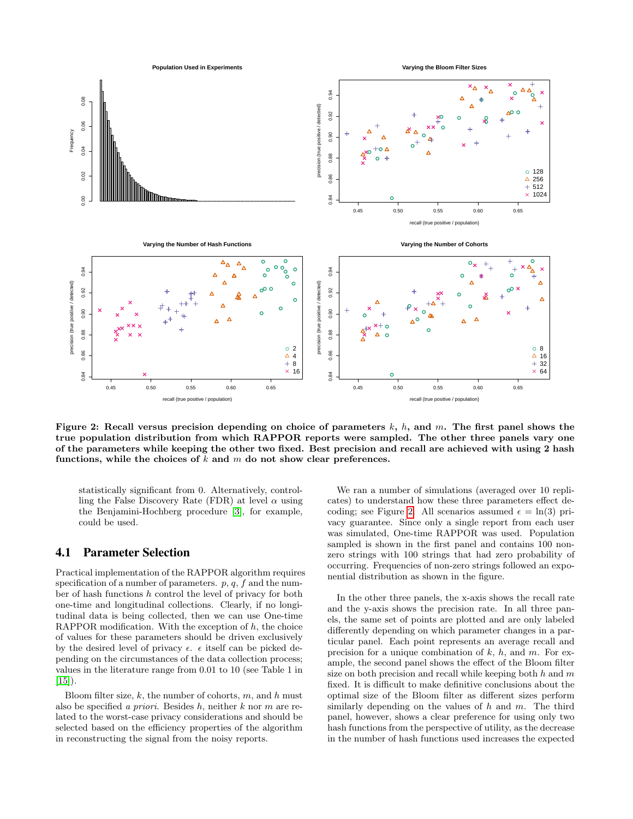

<span id="page-6-0"></span>Figure 2: Recall versus precision depending on choice of parameters  $k, h$ , and  $m$ . The first panel shows the true population distribution from which RAPPOR reports were sampled. The other three panels vary one of the parameters while keeping the other two fixed. Best precision and recall are achieved with using 2 hash functions, while the choices of  $k$  and  $m$  do not show clear preferences.

statistically significant from 0. Alternatively, controlling the False Discovery Rate (FDR) at level  $\alpha$  using the Benjamini-Hochberg procedure [\[3\]](#page-12-6), for example, could be used.

## 4.1 Parameter Selection

Practical implementation of the RAPPOR algorithm requires specification of a number of parameters.  $p, q, f$  and the number of hash functions h control the level of privacy for both one-time and longitudinal collections. Clearly, if no longitudinal data is being collected, then we can use One-time RAPPOR modification. With the exception of  $h$ , the choice of values for these parameters should be driven exclusively by the desired level of privacy  $\epsilon$ .  $\epsilon$  itself can be picked depending on the circumstances of the data collection process; values in the literature range from 0.01 to 10 (see Table 1 in  $[15]$ .

Bloom filter size,  $k$ , the number of cohorts,  $m$ , and  $h$  must also be specified a priori. Besides h, neither  $k$  nor  $m$  are related to the worst-case privacy considerations and should be selected based on the efficiency properties of the algorithm in reconstructing the signal from the noisy reports.

We ran a number of simulations (averaged over 10 replicates) to understand how these three parameters effect de-coding; see Figure [2.](#page-6-0) All scenarios assumed  $\epsilon = \ln(3)$  privacy guarantee. Since only a single report from each user was simulated, One-time RAPPOR was used. Population sampled is shown in the first panel and contains 100 nonzero strings with 100 strings that had zero probability of occurring. Frequencies of non-zero strings followed an exponential distribution as shown in the figure.

In the other three panels, the x-axis shows the recall rate and the y-axis shows the precision rate. In all three panels, the same set of points are plotted and are only labeled differently depending on which parameter changes in a particular panel. Each point represents an average recall and precision for a unique combination of  $k$ ,  $h$ , and  $m$ . For example, the second panel shows the effect of the Bloom filter size on both precision and recall while keeping both  $h$  and  $m$ fixed. It is difficult to make definitive conclusions about the optimal size of the Bloom filter as different sizes perform similarly depending on the values of  $h$  and  $m$ . The third panel, however, shows a clear preference for using only two hash functions from the perspective of utility, as the decrease in the number of hash functions used increases the expected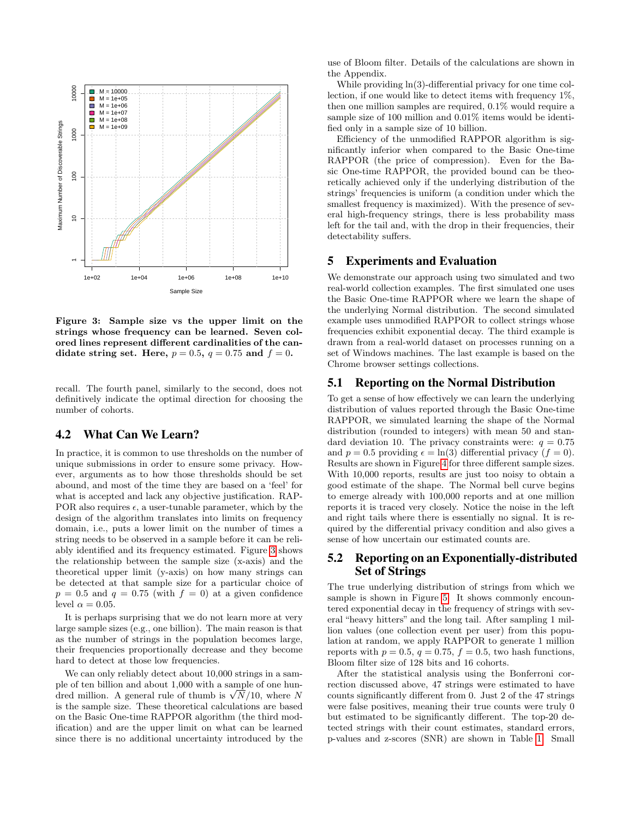

<span id="page-7-0"></span>Figure 3: Sample size vs the upper limit on the strings whose frequency can be learned. Seven colored lines represent different cardinalities of the candidate string set. Here,  $p = 0.5$ ,  $q = 0.75$  and  $f = 0$ .

recall. The fourth panel, similarly to the second, does not definitively indicate the optimal direction for choosing the number of cohorts.

## 4.2 What Can We Learn?

In practice, it is common to use thresholds on the number of unique submissions in order to ensure some privacy. However, arguments as to how those thresholds should be set abound, and most of the time they are based on a 'feel' for what is accepted and lack any objective justification. RAP-POR also requires  $\epsilon$ , a user-tunable parameter, which by the design of the algorithm translates into limits on frequency domain, i.e., puts a lower limit on the number of times a string needs to be observed in a sample before it can be reliably identified and its frequency estimated. Figure [3](#page-7-0) shows the relationship between the sample size (x-axis) and the theoretical upper limit (y-axis) on how many strings can be detected at that sample size for a particular choice of  $p = 0.5$  and  $q = 0.75$  (with  $f = 0$ ) at a given confidence level  $\alpha = 0.05$ .

It is perhaps surprising that we do not learn more at very large sample sizes (e.g., one billion). The main reason is that as the number of strings in the population becomes large, their frequencies proportionally decrease and they become hard to detect at those low frequencies.

We can only reliably detect about 10,000 strings in a sample of ten billion and about 1,000 with a sample of one hunple of ten billion and about 1,000 with a sample of one hun-<br>dred million. A general rule of thumb is  $\sqrt{N}/10$ , where N is the sample size. These theoretical calculations are based on the Basic One-time RAPPOR algorithm (the third modification) and are the upper limit on what can be learned since there is no additional uncertainty introduced by the use of Bloom filter. Details of the calculations are shown in the Appendix.

While providing ln(3)-differential privacy for one time collection, if one would like to detect items with frequency  $1\%$ , then one million samples are required, 0.1% would require a sample size of 100 million and 0.01% items would be identified only in a sample size of 10 billion.

Efficiency of the unmodified RAPPOR algorithm is significantly inferior when compared to the Basic One-time RAPPOR (the price of compression). Even for the Basic One-time RAPPOR, the provided bound can be theoretically achieved only if the underlying distribution of the strings' frequencies is uniform (a condition under which the smallest frequency is maximized). With the presence of several high-frequency strings, there is less probability mass left for the tail and, with the drop in their frequencies, their detectability suffers.

#### 5 Experiments and Evaluation

We demonstrate our approach using two simulated and two real-world collection examples. The first simulated one uses the Basic One-time RAPPOR where we learn the shape of the underlying Normal distribution. The second simulated example uses unmodified RAPPOR to collect strings whose frequencies exhibit exponential decay. The third example is drawn from a real-world dataset on processes running on a set of Windows machines. The last example is based on the Chrome browser settings collections.

## 5.1 Reporting on the Normal Distribution

To get a sense of how effectively we can learn the underlying distribution of values reported through the Basic One-time RAPPOR, we simulated learning the shape of the Normal distribution (rounded to integers) with mean 50 and standard deviation 10. The privacy constraints were:  $q = 0.75$ and  $p = 0.5$  providing  $\epsilon = \ln(3)$  differential privacy  $(f = 0)$ . Results are shown in Figure [4](#page-8-0) for three different sample sizes. With 10,000 reports, results are just too noisy to obtain a good estimate of the shape. The Normal bell curve begins to emerge already with 100,000 reports and at one million reports it is traced very closely. Notice the noise in the left and right tails where there is essentially no signal. It is required by the differential privacy condition and also gives a sense of how uncertain our estimated counts are.

#### 5.2 Reporting on an Exponentially-distributed Set of Strings

The true underlying distribution of strings from which we sample is shown in Figure [5.](#page-8-1) It shows commonly encountered exponential decay in the frequency of strings with several "heavy hitters" and the long tail. After sampling 1 million values (one collection event per user) from this population at random, we apply RAPPOR to generate 1 million reports with  $p = 0.5$ ,  $q = 0.75$ ,  $f = 0.5$ , two hash functions, Bloom filter size of 128 bits and 16 cohorts.

After the statistical analysis using the Bonferroni correction discussed above, 47 strings were estimated to have counts significantly different from 0. Just 2 of the 47 strings were false positives, meaning their true counts were truly 0 but estimated to be significantly different. The top-20 detected strings with their count estimates, standard errors, p-values and z-scores (SNR) are shown in Table [1.](#page-8-2) Small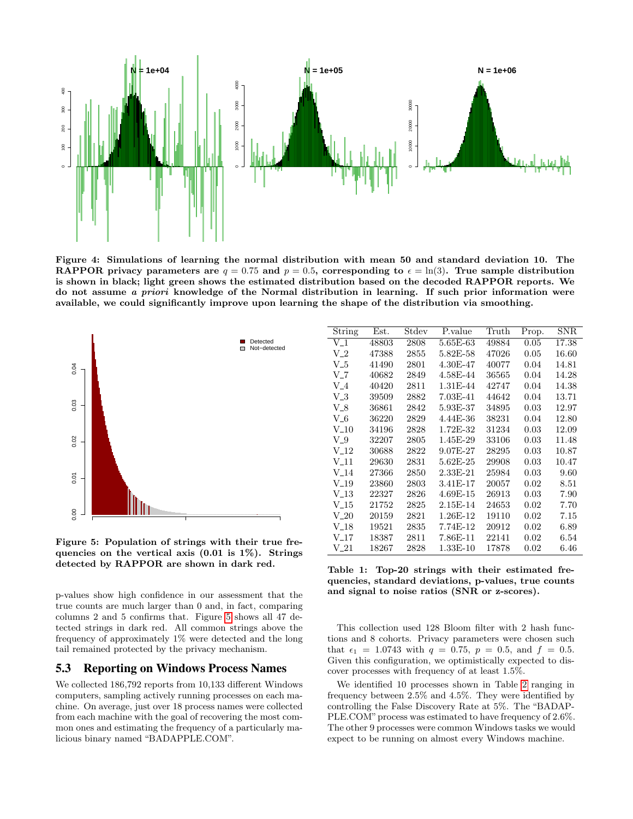

<span id="page-8-0"></span>Figure 4: Simulations of learning the normal distribution with mean 50 and standard deviation 10. The RAPPOR privacy parameters are  $q = 0.75$  and  $p = 0.5$ , corresponding to  $\epsilon = \ln(3)$ . True sample distribution is shown in black; light green shows the estimated distribution based on the decoded RAPPOR reports. We do not assume a priori knowledge of the Normal distribution in learning. If such prior information were available, we could significantly improve upon learning the shape of the distribution via smoothing.



<span id="page-8-1"></span>Figure 5: Population of strings with their true frequencies on the vertical axis  $(0.01 \text{ is } 1\%)$ . Strings detected by RAPPOR are shown in dark red.

p-values show high confidence in our assessment that the true counts are much larger than 0 and, in fact, comparing columns 2 and 5 confirms that. Figure [5](#page-8-1) shows all 47 detected strings in dark red. All common strings above the frequency of approximately 1% were detected and the long tail remained protected by the privacy mechanism.

#### 5.3 Reporting on Windows Process Names

We collected 186,792 reports from 10,133 different Windows computers, sampling actively running processes on each machine. On average, just over 18 process names were collected from each machine with the goal of recovering the most common ones and estimating the frequency of a particularly malicious binary named "BADAPPLE.COM".

| String           | Est.  | $_{\text{Stdev}}$ | P.value    | Truth | Prop. | <b>SNR</b> |
|------------------|-------|-------------------|------------|-------|-------|------------|
| $V_1$            | 48803 | 2808              | 5.65E-63   | 49884 | 0.05  | 17.38      |
| $V_2$            | 47388 | 2855              | 5.82E-58   | 47026 | 0.05  | 16.60      |
| $_{\rm V_ -5}$   | 41490 | 2801              | 4.30E-47   | 40077 | 0.04  | 14.81      |
| $V_7$            | 40682 | 2849              | 4.58E-44   | 36565 | 0.04  | 14.28      |
| $V_4$            | 40420 | 2811              | 1.31E-44   | 42747 | 0.04  | 14.38      |
| $V_{-}3$         | 39509 | 2882              | 7.03E-41   | 44642 | 0.04  | 13.71      |
| $V_{-}8$         | 36861 | 2842              | 5.93E-37   | 34895 | 0.03  | 12.97      |
| $V_6$            | 36220 | 2829              | 4.44E-36   | 38231 | 0.04  | 12.80      |
| $V_{-}10$        | 34196 | 2828              | 1.72E-32   | 31234 | 0.03  | 12.09      |
| $V_9$            | 32207 | 2805              | 1.45E-29   | 33106 | 0.03  | 11.48      |
| $V_{-}12$        | 30688 | 2822              | 9.07E-27   | 28295 | 0.03  | 10.87      |
| V <sub>-11</sub> | 29630 | 2831              | 5.62E-25   | 29908 | 0.03  | 10.47      |
| $V_14$           | 27366 | 2850              | 2.33E-21   | 25984 | 0.03  | 9.60       |
| $V_{-}19$        | 23860 | 2803              | 3.41E-17   | 20057 | 0.02  | 8.51       |
| $V_{-}13$        | 22327 | 2826              | 4.69E-15   | 26913 | 0.03  | 7.90       |
| $V_{-15}$        | 21752 | 2825              | 2.15E-14   | 24653 | 0.02  | 7.70       |
| $V_{-20}$        | 20159 | 2821              | 1.26E-12   | 19110 | 0.02  | 7.15       |
| $V_{-18}$        | 19521 | 2835              | 7.74E-12   | 20912 | 0.02  | 6.89       |
| $V_{-}17$        | 18387 | 2811              | $7.86E-11$ | 22141 | 0.02  | 6.54       |
| $V\_21$          | 18267 | 2828              | 1.33E-10   | 17878 | 0.02  | 6.46       |

<span id="page-8-2"></span>Table 1: Top-20 strings with their estimated frequencies, standard deviations, p-values, true counts and signal to noise ratios (SNR or z-scores).

This collection used 128 Bloom filter with 2 hash functions and 8 cohorts. Privacy parameters were chosen such that  $\epsilon_1 = 1.0743$  with  $q = 0.75$ ,  $p = 0.5$ , and  $f = 0.5$ . Given this configuration, we optimistically expected to discover processes with frequency of at least 1.5%.

We identified 10 processes shown in Table [2](#page-9-2) ranging in frequency between 2.5% and 4.5%. They were identified by controlling the False Discovery Rate at 5%. The "BADAP-PLE.COM" process was estimated to have frequency of 2.6%. The other 9 processes were common Windows tasks we would expect to be running on almost every Windows machine.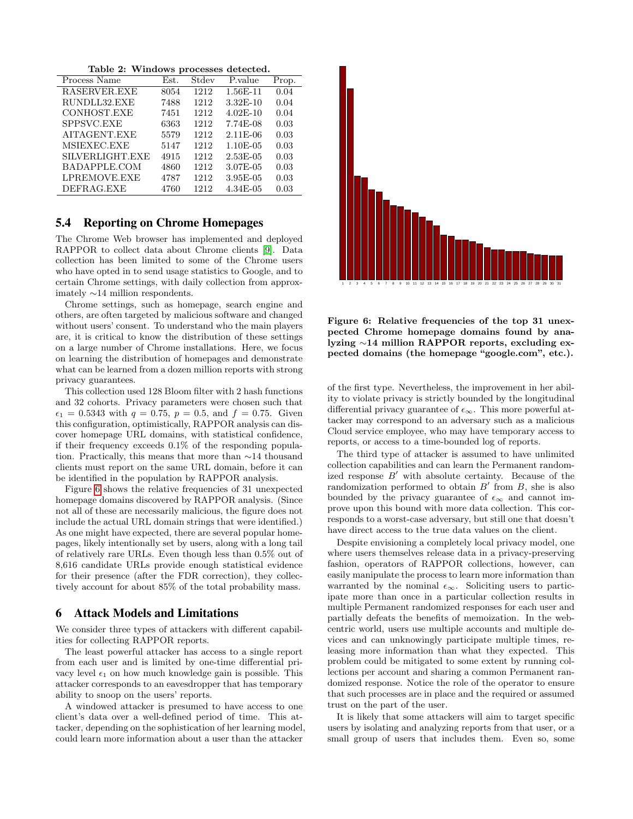<span id="page-9-2"></span>Table 2: Windows processes detected.

| Process Name    | Est. | Stdev | P.value      | Prop. |
|-----------------|------|-------|--------------|-------|
| RASERVER.EXE    | 8054 | 1212  | 1.56E-11     | 0.04  |
| RUNDLL32.EXE    | 7488 | 1212  | $3.32E-10$   | 0.04  |
| CONHOST.EXE     | 7451 | 1212  | $4.02E - 10$ | 0.04  |
| SPPSVC.EXE      | 6363 | 1212  | 7.74E-08     | 0.03  |
| AITAGENT.EXE    | 5579 | 1212  | $2.11E-06$   | 0.03  |
| MSIEXEC.EXE     | 5147 | 1212  | 1.10E-05     | 0.03  |
| SILVERLIGHT.EXE | 4915 | 1212  | $2.53E-05$   | 0.03  |
| BADAPPLE.COM    | 4860 | 1212  | 3.07E-05     | 0.03  |
| LPREMOVE.EXE    | 4787 | 1212  | 3.95E-05     | 0.03  |
| DEFRAG.EXE      | 4760 | 1212  | 4.34E-05     | 0.03  |

#### <span id="page-9-0"></span>5.4 Reporting on Chrome Homepages

The Chrome Web browser has implemented and deployed RAPPOR to collect data about Chrome clients [\[9\]](#page-12-2). Data collection has been limited to some of the Chrome users who have opted in to send usage statistics to Google, and to certain Chrome settings, with daily collection from approximately ∼14 million respondents.

Chrome settings, such as homepage, search engine and others, are often targeted by malicious software and changed without users' consent. To understand who the main players are, it is critical to know the distribution of these settings on a large number of Chrome installations. Here, we focus on learning the distribution of homepages and demonstrate what can be learned from a dozen million reports with strong privacy guarantees.

This collection used 128 Bloom filter with 2 hash functions and 32 cohorts. Privacy parameters were chosen such that  $\epsilon_1 = 0.5343$  with  $q = 0.75$ ,  $p = 0.5$ , and  $f = 0.75$ . Given this configuration, optimistically, RAPPOR analysis can discover homepage URL domains, with statistical confidence, if their frequency exceeds 0.1% of the responding population. Practically, this means that more than ∼14 thousand clients must report on the same URL domain, before it can be identified in the population by RAPPOR analysis.

Figure [6](#page-9-3) shows the relative frequencies of 31 unexpected homepage domains discovered by RAPPOR analysis. (Since not all of these are necessarily malicious, the figure does not include the actual URL domain strings that were identified.) As one might have expected, there are several popular homepages, likely intentionally set by users, along with a long tail of relatively rare URLs. Even though less than 0.5% out of 8,616 candidate URLs provide enough statistical evidence for their presence (after the FDR correction), they collectively account for about 85% of the total probability mass.

#### <span id="page-9-1"></span>6 Attack Models and Limitations

We consider three types of attackers with different capabilities for collecting RAPPOR reports.

The least powerful attacker has access to a single report from each user and is limited by one-time differential privacy level  $\epsilon_1$  on how much knowledge gain is possible. This attacker corresponds to an eavesdropper that has temporary ability to snoop on the users' reports.

A windowed attacker is presumed to have access to one client's data over a well-defined period of time. This attacker, depending on the sophistication of her learning model, could learn more information about a user than the attacker



<span id="page-9-3"></span>Figure 6: Relative frequencies of the top 31 unexpected Chrome homepage domains found by analyzing ∼14 million RAPPOR reports, excluding expected domains (the homepage "google.com", etc.).

of the first type. Nevertheless, the improvement in her ability to violate privacy is strictly bounded by the longitudinal differential privacy guarantee of  $\epsilon_{\infty}$ . This more powerful attacker may correspond to an adversary such as a malicious Cloud service employee, who may have temporary access to reports, or access to a time-bounded log of reports.

The third type of attacker is assumed to have unlimited collection capabilities and can learn the Permanent randomized response  $B'$  with absolute certainty. Because of the randomization performed to obtain  $B'$  from  $B$ , she is also bounded by the privacy guarantee of  $\epsilon_{\infty}$  and cannot improve upon this bound with more data collection. This corresponds to a worst-case adversary, but still one that doesn't have direct access to the true data values on the client.

Despite envisioning a completely local privacy model, one where users themselves release data in a privacy-preserving fashion, operators of RAPPOR collections, however, can easily manipulate the process to learn more information than warranted by the nominal  $\epsilon_{\infty}$ . Soliciting users to participate more than once in a particular collection results in multiple Permanent randomized responses for each user and partially defeats the benefits of memoization. In the webcentric world, users use multiple accounts and multiple devices and can unknowingly participate multiple times, releasing more information than what they expected. This problem could be mitigated to some extent by running collections per account and sharing a common Permanent randomized response. Notice the role of the operator to ensure that such processes are in place and the required or assumed trust on the part of the user.

It is likely that some attackers will aim to target specific users by isolating and analyzing reports from that user, or a small group of users that includes them. Even so, some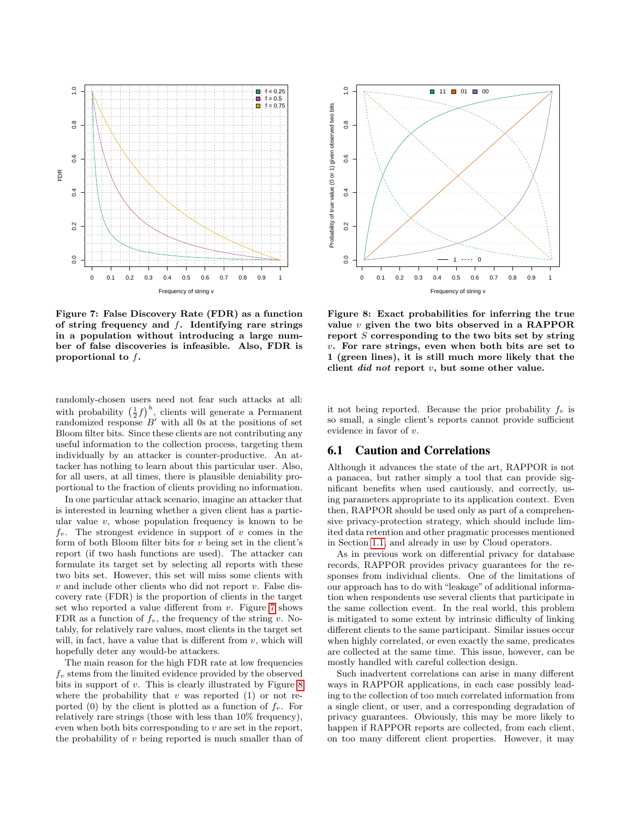

<span id="page-10-0"></span>Figure 7: False Discovery Rate (FDR) as a function of string frequency and  $f$ . Identifying rare strings in a population without introducing a large number of false discoveries is infeasible. Also, FDR is proportional to  $f$ .

randomly-chosen users need not fear such attacks at all: with probability  $\left(\frac{1}{2}f\right)^h$ , clients will generate a Permanent randomized response  $B'$  with all 0s at the positions of set Bloom filter bits. Since these clients are not contributing any useful information to the collection process, targeting them individually by an attacker is counter-productive. An attacker has nothing to learn about this particular user. Also, for all users, at all times, there is plausible deniability proportional to the fraction of clients providing no information.

In one particular attack scenario, imagine an attacker that is interested in learning whether a given client has a particular value  $v$ , whose population frequency is known to be  $f_v$ . The strongest evidence in support of v comes in the form of both Bloom filter bits for  $v$  being set in the client's report (if two hash functions are used). The attacker can formulate its target set by selecting all reports with these two bits set. However, this set will miss some clients with  $v$  and include other clients who did not report  $v$ . False discovery rate (FDR) is the proportion of clients in the target set who reported a value different from  $v$ . Figure [7](#page-10-0) shows FDR as a function of  $f_v$ , the frequency of the string v. Notably, for relatively rare values, most clients in the target set will, in fact, have a value that is different from  $v$ , which will hopefully deter any would-be attackers.

The main reason for the high FDR rate at low frequencies  $f<sub>v</sub>$  stems from the limited evidence provided by the observed bits in support of v. This is clearly illustrated by Figure [8](#page-10-1) where the probability that  $v$  was reported (1) or not reported (0) by the client is plotted as a function of  $f_v$ . For relatively rare strings (those with less than 10% frequency), even when both bits corresponding to  $v$  are set in the report, the probability of  $v$  being reported is much smaller than of



<span id="page-10-1"></span>Figure 8: Exact probabilities for inferring the true value  $v$  given the two bits observed in a RAPPOR report S corresponding to the two bits set by string  $v$ . For rare strings, even when both bits are set to 1 (green lines), it is still much more likely that the client did not report v, but some other value.

it not being reported. Because the prior probability  $f_v$  is so small, a single client's reports cannot provide sufficient evidence in favor of v.

#### 6.1 Caution and Correlations

Although it advances the state of the art, RAPPOR is not a panacea, but rather simply a tool that can provide significant benefits when used cautiously, and correctly, using parameters appropriate to its application context. Even then, RAPPOR should be used only as part of a comprehensive privacy-protection strategy, which should include limited data retention and other pragmatic processes mentioned in Section [1.1,](#page-1-0) and already in use by Cloud operators.

As in previous work on differential privacy for database records, RAPPOR provides privacy guarantees for the responses from individual clients. One of the limitations of our approach has to do with "leakage" of additional information when respondents use several clients that participate in the same collection event. In the real world, this problem is mitigated to some extent by intrinsic difficulty of linking different clients to the same participant. Similar issues occur when highly correlated, or even exactly the same, predicates are collected at the same time. This issue, however, can be mostly handled with careful collection design.

Such inadvertent correlations can arise in many different ways in RAPPOR applications, in each case possibly leading to the collection of too much correlated information from a single client, or user, and a corresponding degradation of privacy guarantees. Obviously, this may be more likely to happen if RAPPOR reports are collected, from each client, on too many different client properties. However, it may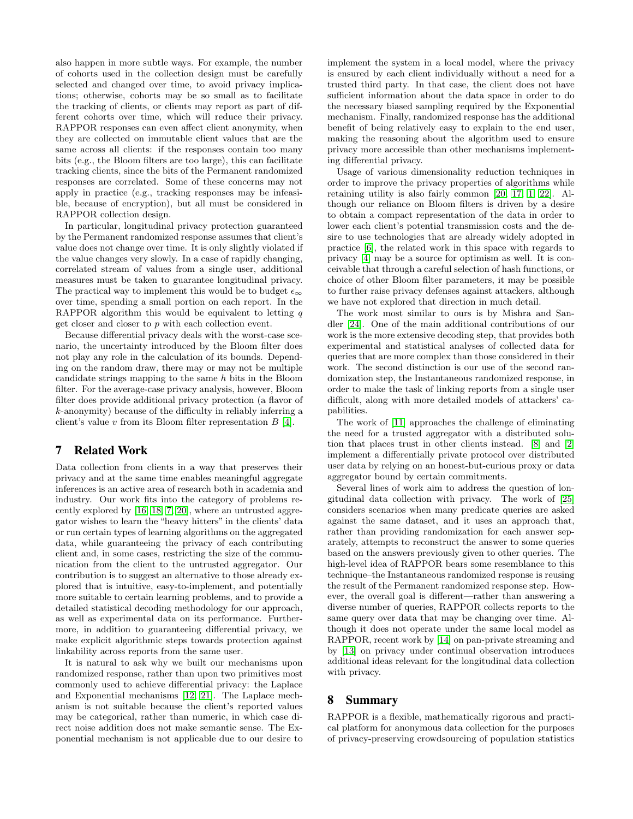also happen in more subtle ways. For example, the number of cohorts used in the collection design must be carefully selected and changed over time, to avoid privacy implications; otherwise, cohorts may be so small as to facilitate the tracking of clients, or clients may report as part of different cohorts over time, which will reduce their privacy. RAPPOR responses can even affect client anonymity, when they are collected on immutable client values that are the same across all clients: if the responses contain too many bits (e.g., the Bloom filters are too large), this can facilitate tracking clients, since the bits of the Permanent randomized responses are correlated. Some of these concerns may not apply in practice (e.g., tracking responses may be infeasible, because of encryption), but all must be considered in RAPPOR collection design.

In particular, longitudinal privacy protection guaranteed by the Permanent randomized response assumes that client's value does not change over time. It is only slightly violated if the value changes very slowly. In a case of rapidly changing, correlated stream of values from a single user, additional measures must be taken to guarantee longitudinal privacy. The practical way to implement this would be to budget  $\epsilon_{\infty}$ over time, spending a small portion on each report. In the RAPPOR algorithm this would be equivalent to letting  $q$ get closer and closer to p with each collection event.

Because differential privacy deals with the worst-case scenario, the uncertainty introduced by the Bloom filter does not play any role in the calculation of its bounds. Depending on the random draw, there may or may not be multiple candidate strings mapping to the same h bits in the Bloom filter. For the average-case privacy analysis, however, Bloom filter does provide additional privacy protection (a flavor of k-anonymity) because of the difficulty in reliably inferring a client's value  $v$  from its Bloom filter representation  $B$  [\[4\]](#page-12-4).

#### 7 Related Work

Data collection from clients in a way that preserves their privacy and at the same time enables meaningful aggregate inferences is an active area of research both in academia and industry. Our work fits into the category of problems recently explored by [\[16,](#page-12-8) [18,](#page-12-9) [7,](#page-12-10) [20\]](#page-12-11), where an untrusted aggregator wishes to learn the "heavy hitters" in the clients' data or run certain types of learning algorithms on the aggregated data, while guaranteeing the privacy of each contributing client and, in some cases, restricting the size of the communication from the client to the untrusted aggregator. Our contribution is to suggest an alternative to those already explored that is intuitive, easy-to-implement, and potentially more suitable to certain learning problems, and to provide a detailed statistical decoding methodology for our approach, as well as experimental data on its performance. Furthermore, in addition to guaranteeing differential privacy, we make explicit algorithmic steps towards protection against linkability across reports from the same user.

It is natural to ask why we built our mechanisms upon randomized response, rather than upon two primitives most commonly used to achieve differential privacy: the Laplace and Exponential mechanisms [\[12,](#page-12-0) [21\]](#page-12-12). The Laplace mechanism is not suitable because the client's reported values may be categorical, rather than numeric, in which case direct noise addition does not make semantic sense. The Exponential mechanism is not applicable due to our desire to implement the system in a local model, where the privacy is ensured by each client individually without a need for a trusted third party. In that case, the client does not have sufficient information about the data space in order to do the necessary biased sampling required by the Exponential mechanism. Finally, randomized response has the additional benefit of being relatively easy to explain to the end user, making the reasoning about the algorithm used to ensure privacy more accessible than other mechanisms implementing differential privacy.

Usage of various dimensionality reduction techniques in order to improve the privacy properties of algorithms while retaining utility is also fairly common [\[20,](#page-12-11) [17,](#page-12-13) [1,](#page-12-14) [22\]](#page-13-5). Although our reliance on Bloom filters is driven by a desire to obtain a compact representation of the data in order to lower each client's potential transmission costs and the desire to use technologies that are already widely adopted in practice [\[6\]](#page-12-15), the related work in this space with regards to privacy [\[4\]](#page-12-4) may be a source for optimism as well. It is conceivable that through a careful selection of hash functions, or choice of other Bloom filter parameters, it may be possible to further raise privacy defenses against attackers, although we have not explored that direction in much detail.

The work most similar to ours is by Mishra and Sandler [\[24\]](#page-13-6). One of the main additional contributions of our work is the more extensive decoding step, that provides both experimental and statistical analyses of collected data for queries that are more complex than those considered in their work. The second distinction is our use of the second randomization step, the Instantaneous randomized response, in order to make the task of linking reports from a single user difficult, along with more detailed models of attackers' capabilities.

The work of [\[11\]](#page-12-16) approaches the challenge of eliminating the need for a trusted aggregator with a distributed solution that places trust in other clients instead. [\[8\]](#page-12-17) and [\[2\]](#page-12-18) implement a differentially private protocol over distributed user data by relying on an honest-but-curious proxy or data aggregator bound by certain commitments.

Several lines of work aim to address the question of longitudinal data collection with privacy. The work of [\[25\]](#page-13-7) considers scenarios when many predicate queries are asked against the same dataset, and it uses an approach that, rather than providing randomization for each answer separately, attempts to reconstruct the answer to some queries based on the answers previously given to other queries. The high-level idea of RAPPOR bears some resemblance to this technique–the Instantaneous randomized response is reusing the result of the Permanent randomized response step. However, the overall goal is different—rather than answering a diverse number of queries, RAPPOR collects reports to the same query over data that may be changing over time. Although it does not operate under the same local model as RAPPOR, recent work by [\[14\]](#page-12-19) on pan-private streaming and by [\[13\]](#page-12-20) on privacy under continual observation introduces additional ideas relevant for the longitudinal data collection with privacy.

#### 8 Summary

RAPPOR is a flexible, mathematically rigorous and practical platform for anonymous data collection for the purposes of privacy-preserving crowdsourcing of population statistics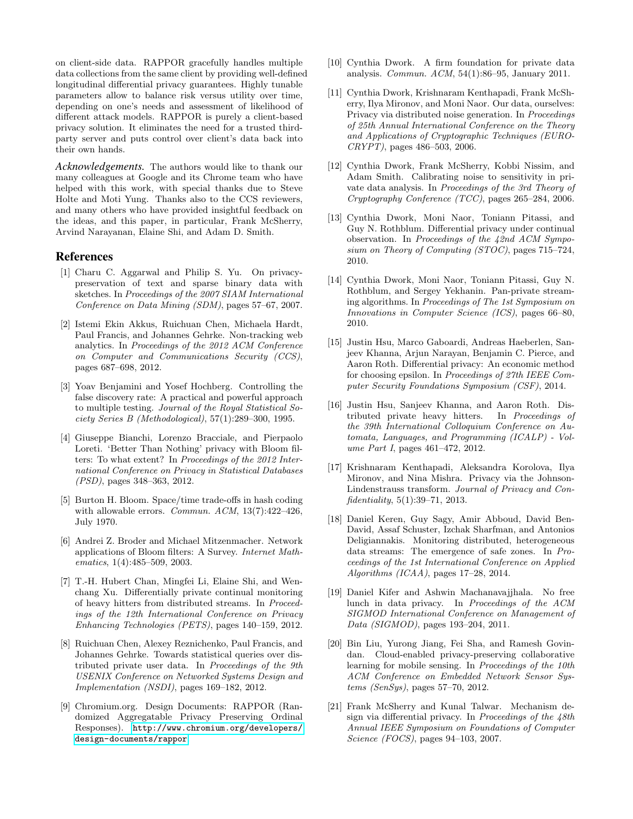on client-side data. RAPPOR gracefully handles multiple data collections from the same client by providing well-defined longitudinal differential privacy guarantees. Highly tunable parameters allow to balance risk versus utility over time, depending on one's needs and assessment of likelihood of different attack models. RAPPOR is purely a client-based privacy solution. It eliminates the need for a trusted thirdparty server and puts control over client's data back into their own hands.

*Acknowledgements.* The authors would like to thank our many colleagues at Google and its Chrome team who have helped with this work, with special thanks due to Steve Holte and Moti Yung. Thanks also to the CCS reviewers, and many others who have provided insightful feedback on the ideas, and this paper, in particular, Frank McSherry, Arvind Narayanan, Elaine Shi, and Adam D. Smith.

#### References

- <span id="page-12-14"></span>[1] Charu C. Aggarwal and Philip S. Yu. On privacypreservation of text and sparse binary data with sketches. In Proceedings of the 2007 SIAM International Conference on Data Mining (SDM), pages 57–67, 2007.
- <span id="page-12-18"></span>[2] Istemi Ekin Akkus, Ruichuan Chen, Michaela Hardt, Paul Francis, and Johannes Gehrke. Non-tracking web analytics. In Proceedings of the 2012 ACM Conference on Computer and Communications Security (CCS), pages 687–698, 2012.
- <span id="page-12-6"></span>[3] Yoav Benjamini and Yosef Hochberg. Controlling the false discovery rate: A practical and powerful approach to multiple testing. Journal of the Royal Statistical Society Series B (Methodological), 57(1):289–300, 1995.
- <span id="page-12-4"></span>[4] Giuseppe Bianchi, Lorenzo Bracciale, and Pierpaolo Loreti. 'Better Than Nothing' privacy with Bloom filters: To what extent? In Proceedings of the 2012 International Conference on Privacy in Statistical Databases (PSD), pages 348–363, 2012.
- <span id="page-12-1"></span>[5] Burton H. Bloom. Space/time trade-offs in hash coding with allowable errors. Commun. ACM, 13(7):422–426, July 1970.
- <span id="page-12-15"></span>[6] Andrei Z. Broder and Michael Mitzenmacher. Network applications of Bloom filters: A Survey. Internet Mathematics, 1(4):485–509, 2003.
- <span id="page-12-10"></span>[7] T.-H. Hubert Chan, Mingfei Li, Elaine Shi, and Wenchang Xu. Differentially private continual monitoring of heavy hitters from distributed streams. In Proceedings of the 12th International Conference on Privacy Enhancing Technologies (PETS), pages 140–159, 2012.
- <span id="page-12-17"></span>[8] Ruichuan Chen, Alexey Reznichenko, Paul Francis, and Johannes Gehrke. Towards statistical queries over distributed private user data. In Proceedings of the 9th USENIX Conference on Networked Systems Design and Implementation (NSDI), pages 169–182, 2012.
- <span id="page-12-2"></span>[9] Chromium.org. Design Documents: RAPPOR (Randomized Aggregatable Privacy Preserving Ordinal Responses). [http://www.chromium.org/developers/](http://www.chromium.org/developers/design-documents/rappor) [design-documents/rappor](http://www.chromium.org/developers/design-documents/rappor).
- <span id="page-12-5"></span>[10] Cynthia Dwork. A firm foundation for private data analysis. Commun. ACM, 54(1):86–95, January 2011.
- <span id="page-12-16"></span>[11] Cynthia Dwork, Krishnaram Kenthapadi, Frank McSherry, Ilya Mironov, and Moni Naor. Our data, ourselves: Privacy via distributed noise generation. In Proceedings of 25th Annual International Conference on the Theory and Applications of Cryptographic Techniques (EURO-CRYPT), pages 486–503, 2006.
- <span id="page-12-0"></span>[12] Cynthia Dwork, Frank McSherry, Kobbi Nissim, and Adam Smith. Calibrating noise to sensitivity in private data analysis. In Proceedings of the 3rd Theory of Cryptography Conference (TCC), pages 265–284, 2006.
- <span id="page-12-20"></span>[13] Cynthia Dwork, Moni Naor, Toniann Pitassi, and Guy N. Rothblum. Differential privacy under continual observation. In Proceedings of the 42nd ACM Symposium on Theory of Computing (STOC), pages 715–724, 2010.
- <span id="page-12-19"></span>[14] Cynthia Dwork, Moni Naor, Toniann Pitassi, Guy N. Rothblum, and Sergey Yekhanin. Pan-private streaming algorithms. In Proceedings of The 1st Symposium on Innovations in Computer Science (ICS), pages 66–80, 2010.
- <span id="page-12-7"></span>[15] Justin Hsu, Marco Gaboardi, Andreas Haeberlen, Sanjeev Khanna, Arjun Narayan, Benjamin C. Pierce, and Aaron Roth. Differential privacy: An economic method for choosing epsilon. In Proceedings of 27th IEEE Computer Security Foundations Symposium (CSF), 2014.
- <span id="page-12-8"></span>[16] Justin Hsu, Sanjeev Khanna, and Aaron Roth. Distributed private heavy hitters. In Proceedings of the 39th International Colloquium Conference on Automata, Languages, and Programming (ICALP) - Volume Part I, pages 461–472, 2012.
- <span id="page-12-13"></span>[17] Krishnaram Kenthapadi, Aleksandra Korolova, Ilya Mironov, and Nina Mishra. Privacy via the Johnson-Lindenstrauss transform. Journal of Privacy and Confidentiality, 5(1):39–71, 2013.
- <span id="page-12-9"></span>[18] Daniel Keren, Guy Sagy, Amir Abboud, David Ben-David, Assaf Schuster, Izchak Sharfman, and Antonios Deligiannakis. Monitoring distributed, heterogeneous data streams: The emergence of safe zones. In Proceedings of the 1st International Conference on Applied Algorithms (ICAA), pages 17–28, 2014.
- <span id="page-12-3"></span>[19] Daniel Kifer and Ashwin Machanavajjhala. No free lunch in data privacy. In Proceedings of the ACM SIGMOD International Conference on Management of Data (SIGMOD), pages 193–204, 2011.
- <span id="page-12-11"></span>[20] Bin Liu, Yurong Jiang, Fei Sha, and Ramesh Govindan. Cloud-enabled privacy-preserving collaborative learning for mobile sensing. In Proceedings of the 10th ACM Conference on Embedded Network Sensor Systems (SenSys), pages 57–70, 2012.
- <span id="page-12-12"></span>[21] Frank McSherry and Kunal Talwar. Mechanism design via differential privacy. In Proceedings of the 48th Annual IEEE Symposium on Foundations of Computer Science (FOCS), pages 94–103, 2007.